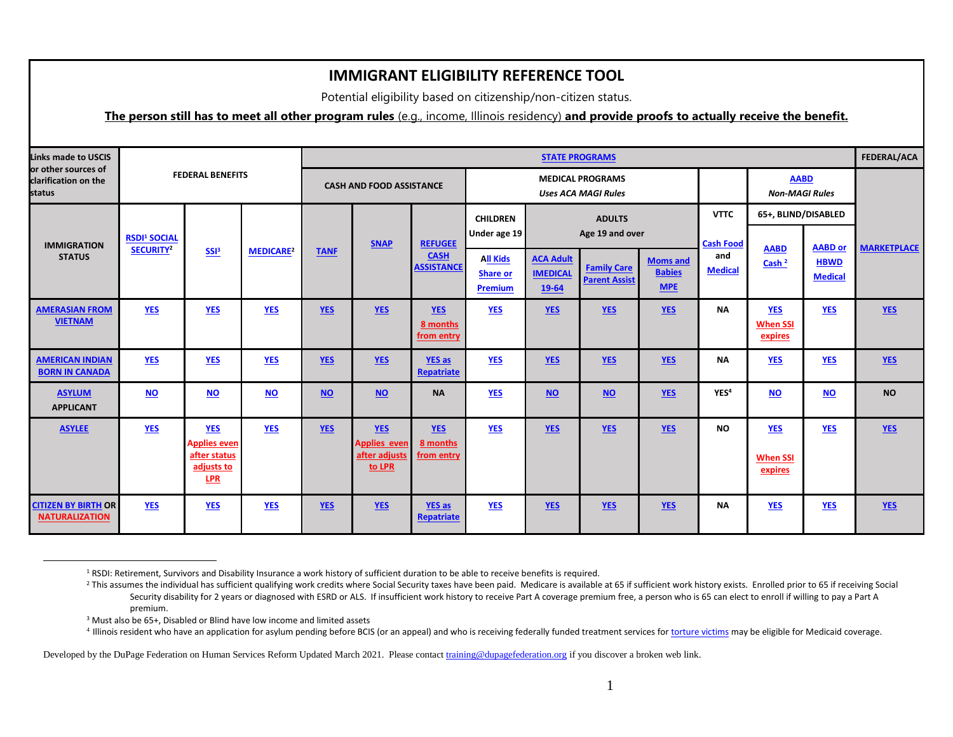Potential eligibility based on citizenship/non-citizen status.

#### <span id="page-0-0"></span>**The person still has to meet all other program rules** (e.g., income, Illinois residency) **and provide proofs to actually receive the benefit.**

| <b>Links made to USCIS</b><br>or other sources of<br>clarification on the<br>status |                                                         | <b>FEDERAL BENEFITS</b>                                                       |                  |             | <b>CASH AND FOOD ASSISTANCE</b>                              |                                      |                                                      |                                              | <b>STATE PROGRAMS</b><br><b>MEDICAL PROGRAMS</b><br><b>Uses ACA MAGI Rules</b> |                                                |                                        | <b>AABD</b><br><b>Non-MAGI Rules</b>     |                               | <b>FEDERAL/ACA</b> |
|-------------------------------------------------------------------------------------|---------------------------------------------------------|-------------------------------------------------------------------------------|------------------|-------------|--------------------------------------------------------------|--------------------------------------|------------------------------------------------------|----------------------------------------------|--------------------------------------------------------------------------------|------------------------------------------------|----------------------------------------|------------------------------------------|-------------------------------|--------------------|
| <b>IMMIGRATION</b><br><b>STATUS</b>                                                 | <b>RSDI<sup>1</sup> SOCIAL</b><br>SECURITY <sup>2</sup> | SSB <sup>3</sup>                                                              | <b>MEDICARE2</b> | <b>TANF</b> | <b>SNAP</b>                                                  | <b>REFUGEE</b><br><b>CASH</b>        | <b>CHILDREN</b><br>Under age 19                      |                                              | <b>ADULTS</b><br>Age 19 and over                                               |                                                | <b>VTTC</b><br><b>Cash Food</b><br>and | 65+, BLIND/DISABLED<br><b>AABD</b>       | <b>AABD or</b>                | <b>MARKETPLACE</b> |
|                                                                                     |                                                         |                                                                               |                  |             |                                                              | <b>ASSISTANCE</b>                    | <b>All Kids</b><br><b>Share or</b><br><b>Premium</b> | <b>ACA Adult</b><br><b>IMEDICAL</b><br>19-64 | <b>Family Care</b><br><b>Parent Assist</b>                                     | <b>Moms and</b><br><b>Babies</b><br><b>MPE</b> | <b>Medical</b>                         | Cash <sup>2</sup>                        | <b>HBWD</b><br><b>Medical</b> |                    |
| <b>AMERASIAN FROM</b><br><b>VIETNAM</b>                                             | <b>YES</b>                                              | <b>YES</b>                                                                    | <b>YES</b>       | <b>YES</b>  | <b>YES</b>                                                   | <b>YES</b><br>8 months<br>from entry | <b>YES</b>                                           | <b>YES</b>                                   | <b>YES</b>                                                                     | <b>YES</b>                                     | <b>NA</b>                              | <b>YES</b><br><b>When SSI</b><br>expires | <b>YES</b>                    | YES                |
| <b>AMERICAN INDIAN</b><br><b>BORN IN CANADA</b>                                     | <b>YES</b>                                              | <b>YES</b>                                                                    | <b>YES</b>       | <b>YES</b>  | <b>YES</b>                                                   | <b>YES as</b><br><b>Repatriate</b>   | <b>YES</b>                                           | <b>YES</b>                                   | <b>YES</b>                                                                     | <b>YES</b>                                     | <b>NA</b>                              | <b>YES</b>                               | <b>YES</b>                    | $YES$              |
| <b>ASYLUM</b><br><b>APPLICANT</b>                                                   | $NO$                                                    | <b>NO</b>                                                                     | $NO$             | <b>NO</b>   | $NO$                                                         | <b>NA</b>                            | <b>YES</b>                                           | $NO$                                         | $NO$                                                                           | YES                                            | YES <sup>4</sup>                       | $NO$                                     | <b>NO</b>                     | <b>NO</b>          |
| <b>ASYLEE</b>                                                                       | <b>YES</b>                                              | <b>YES</b><br><b>Applies even</b><br>after status<br>adjusts to<br><b>LPR</b> | <b>YES</b>       | <b>YES</b>  | <b>YES</b><br><b>Applies even</b><br>after adjusts<br>to LPR | <b>YES</b><br>8 months<br>from entry | <b>YES</b>                                           | <b>YES</b>                                   | <b>YES</b>                                                                     | <b>YES</b>                                     | <b>NO</b>                              | <b>YES</b><br><b>When SSI</b><br>expires | <b>YES</b>                    | <b>YES</b>         |
| <b>CITIZEN BY BIRTH OR</b><br><b>NATURALIZATION</b>                                 | YES                                                     | <b>YES</b>                                                                    | <b>YES</b>       | <b>YES</b>  | $YES$                                                        | <b>YES as</b><br><b>Repatriate</b>   | <b>YES</b>                                           | YES                                          | <b>YES</b>                                                                     | <b>YES</b>                                     | <b>NA</b>                              | <b>YES</b>                               | <b>YES</b>                    | $YES$              |

<sup>1</sup> RSDI: Retirement, Survivors and Disability Insurance a work history of sufficient duration to be able to receive benefits is required.

<sup>3</sup> Must also be 65+, Disabled or Blind have low income and limited assets

 $\overline{a}$ 

<sup>4</sup> Illinois resident who have an application for asylum pending before BCIS (or an appeal) and who is receiving federally funded treatment services fo[r torture victims](http://www.dhs.state.il.us/page.aspx?item=52376) may be eligible for Medicaid coverage.

<sup>&</sup>lt;sup>2</sup> This assumes the individual has sufficient qualifying work credits where Social Security taxes have been paid. Medicare is available at 65 if sufficient work history exists. Enrolled prior to 65 if receiving Social Security disability for 2 years or diagnosed with ESRD or ALS. If insufficient work history to receive Part A coverage premium free, a person who is 65 can elect to enroll if willing to pay a Part A premium.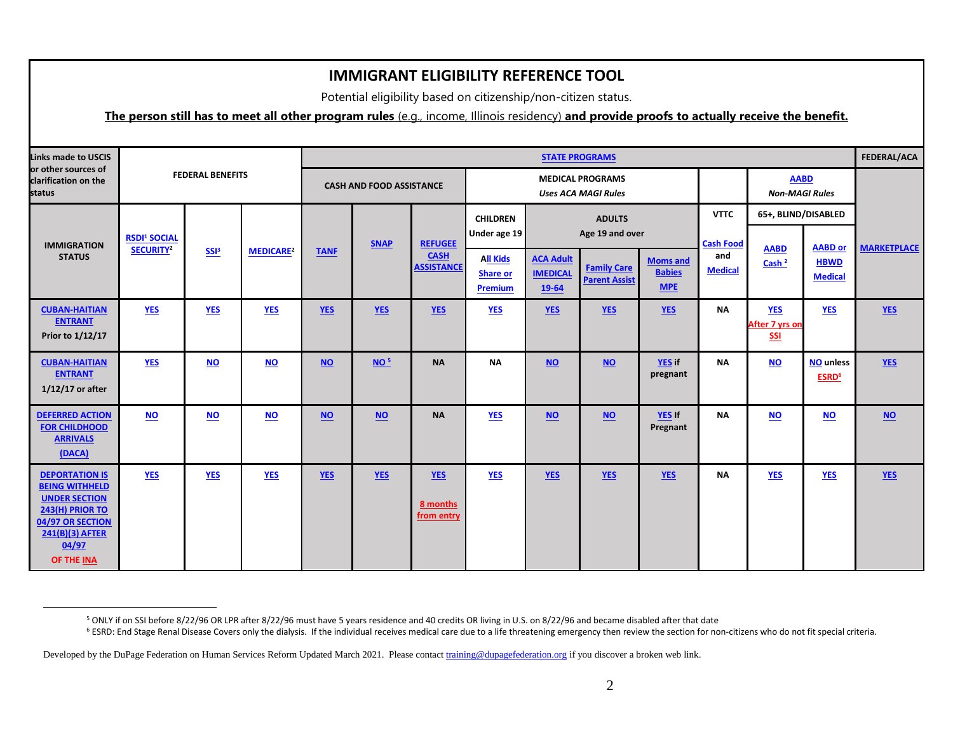Potential eligibility based on citizenship/non-citizen status.

#### **The person still has to meet all other program rules** (e.g., income, Illinois residency) **and provide proofs to actually receive the benefit.**

| Links made to USCIS                                                                                                                                     |                                |                         |                             |             |                                 |                                      |                                               |                                              | <b>STATE PROGRAMS</b>                                 |                                                |                                           |                                              |                                       | FEDERAL/ACA        |
|---------------------------------------------------------------------------------------------------------------------------------------------------------|--------------------------------|-------------------------|-----------------------------|-------------|---------------------------------|--------------------------------------|-----------------------------------------------|----------------------------------------------|-------------------------------------------------------|------------------------------------------------|-------------------------------------------|----------------------------------------------|---------------------------------------|--------------------|
| or other sources of<br>clarification on the<br>status                                                                                                   |                                | <b>FEDERAL BENEFITS</b> |                             |             | <b>CASH AND FOOD ASSISTANCE</b> |                                      |                                               |                                              | <b>MEDICAL PROGRAMS</b><br><b>Uses ACA MAGI Rules</b> |                                                |                                           |                                              | <b>AABD</b><br><b>Non-MAGI Rules</b>  |                    |
| <b>IMMIGRATION</b>                                                                                                                                      | <b>RSDI<sup>1</sup> SOCIAL</b> |                         |                             |             | <b>SNAP</b>                     | <b>REFUGEE</b>                       | <b>CHILDREN</b><br>Under age 19               |                                              | <b>ADULTS</b><br>Age 19 and over                      |                                                |                                           | 65+, BLIND/DISABLED                          | <b>AABD</b> or                        |                    |
| <b>STATUS</b>                                                                                                                                           | SECURITY <sup>2</sup>          | SSB <sup>3</sup>        | <b>MEDICARE<sup>2</sup></b> | <b>TANF</b> |                                 | <b>CASH</b><br><b>ASSISTANCE</b>     | <b>All Kids</b><br><b>Share or</b><br>Premium | <b>ACA Adult</b><br><b>IMEDICAL</b><br>19-64 | <b>Family Care</b><br><b>Parent Assist</b>            | <b>Moms and</b><br><b>Babies</b><br><b>MPE</b> | <b>Cash Food</b><br>and<br><b>Medical</b> | <b>AABD</b><br>Cash <sup>2</sup>             | <b>HBWD</b><br><b>Medical</b>         | <b>MARKETPLACE</b> |
| <b>CUBAN-HAITIAN</b><br><b>ENTRANT</b><br>Prior to 1/12/17                                                                                              | <b>YES</b>                     | <b>YES</b>              | <b>YES</b>                  | <b>YES</b>  | <b>YES</b>                      | <b>YES</b>                           | <b>YES</b>                                    | YES                                          | <b>YES</b>                                            | <b>YES</b>                                     | <b>NA</b>                                 | <b>YES</b><br><b>After 7 yrs on</b><br>$SSI$ | <b>YES</b>                            | $YES$              |
| <b>CUBAN-HAITIAN</b><br><b>ENTRANT</b><br>$1/12/17$ or after                                                                                            | <b>YES</b>                     | $NO$                    | $\overline{NO}$             | $NO$        | NO <sup>5</sup>                 | <b>NA</b>                            | <b>NA</b>                                     | $NO$                                         | <b>NO</b>                                             | <b>YES if</b><br>pregnant                      | <b>NA</b>                                 | $NO$                                         | <b>NO</b> unless<br>ESRD <sup>6</sup> | <b>YES</b>         |
| <b>DEFERRED ACTION</b><br><b>FOR CHILDHOOD</b><br><b>ARRIVALS</b><br>(DACA)                                                                             | <b>NO</b>                      | <b>NO</b>               | <b>NO</b>                   | <b>NO</b>   | <b>NO</b>                       | <b>NA</b>                            | <b>YES</b>                                    | $NO$                                         | <b>NO</b>                                             | YES If<br>Pregnant                             | <b>NA</b>                                 | <b>NO</b>                                    | <b>NO</b>                             | $NO$               |
| <b>DEPORTATION IS</b><br><b>BEING WITHHELD</b><br><b>UNDER SECTION</b><br>243(H) PRIOR TO<br>04/97 OR SECTION<br>241(B)(3) AFTER<br>04/97<br>OF THE INA | <b>YES</b>                     | <b>YES</b>              | <b>YES</b>                  | <b>YES</b>  | YES                             | <b>YES</b><br>8 months<br>from entry | <b>YES</b>                                    | <b>YES</b>                                   | YES                                                   | <b>YES</b>                                     | <b>NA</b>                                 | <b>YES</b>                                   | <b>YES</b>                            | <b>YES</b>         |

<sup>6</sup> ESRD: End Stage Renal Disease Covers only the dialysis. If the individual receives medical care due to a life threatening emergency then review the section for non-citizens who do not fit special criteria.

 $\overline{a}$ 

<sup>5</sup> ONLY if on SSI before 8/22/96 OR LPR after 8/22/96 must have 5 years residence and 40 credits OR living in U.S. on 8/22/96 and became disabled after that date

Developed by the DuPage Federation on Human Services Reform Updated March 2021. Please contac[t training@dupagefederation.org](mailto:training@dupagefederation.org) if you discover a broken web link.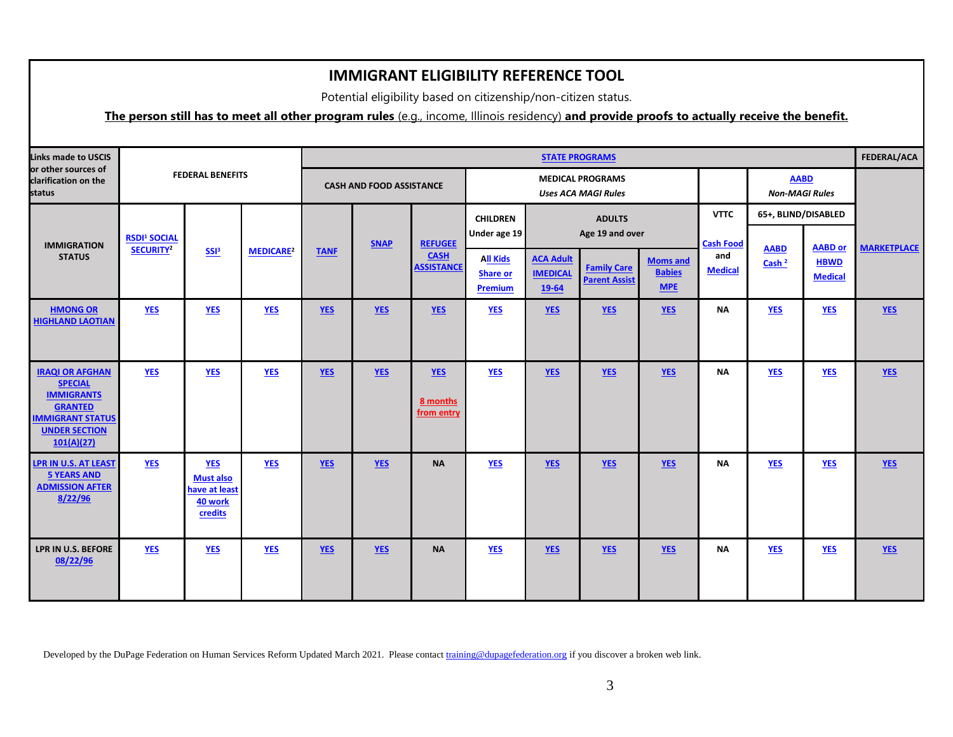Potential eligibility based on citizenship/non-citizen status.

## **The person still has to meet all other program rules** (e.g., income, Illinois residency) **and provide proofs to actually receive the benefit.**

| <b>Links made to USCIS</b>                                                                                                                       |                                |                                                                       |                             |             |                                 |                                                    |                                               | <b>STATE PROGRAMS</b>                        |                                                       |                                                |                                           |                                      |                                                 | FEDERAL/ACA        |
|--------------------------------------------------------------------------------------------------------------------------------------------------|--------------------------------|-----------------------------------------------------------------------|-----------------------------|-------------|---------------------------------|----------------------------------------------------|-----------------------------------------------|----------------------------------------------|-------------------------------------------------------|------------------------------------------------|-------------------------------------------|--------------------------------------|-------------------------------------------------|--------------------|
| or other sources of<br>clarification on the<br>status                                                                                            |                                | <b>FEDERAL BENEFITS</b>                                               |                             |             | <b>CASH AND FOOD ASSISTANCE</b> |                                                    |                                               |                                              | <b>MEDICAL PROGRAMS</b><br><b>Uses ACA MAGI Rules</b> |                                                |                                           | <b>AABD</b><br><b>Non-MAGI Rules</b> |                                                 |                    |
|                                                                                                                                                  | <b>RSDI<sup>1</sup> SOCIAL</b> |                                                                       |                             |             |                                 |                                                    | <b>CHILDREN</b><br>Under age 19               |                                              | <b>ADULTS</b><br>Age 19 and over                      |                                                | <b>VTTC</b>                               | 65+, BLIND/DISABLED                  |                                                 |                    |
| <b>IMMIGRATION</b><br><b>STATUS</b>                                                                                                              | SECURITY <sup>2</sup>          | SSB <sup>3</sup>                                                      | <b>MEDICARE<sup>2</sup></b> | <b>TANF</b> | <b>SNAP</b>                     | <b>REFUGEE</b><br><b>CASH</b><br><b>ASSISTANCE</b> | <b>All Kids</b><br><b>Share or</b><br>Premium | <b>ACA Adult</b><br><b>IMEDICAL</b><br>19-64 | <b>Family Care</b><br><b>Parent Assist</b>            | <b>Moms and</b><br><b>Babies</b><br><b>MPE</b> | <b>Cash Food</b><br>and<br><b>Medical</b> | <b>AABD</b><br>Cash <sup>2</sup>     | <b>AABD</b> or<br><b>HBWD</b><br><b>Medical</b> | <b>MARKETPLACE</b> |
| <b>HMONG OR</b><br><b>HIGHLAND LAOTIAN</b>                                                                                                       | <b>YES</b>                     | <b>YES</b>                                                            | <b>YES</b>                  | <b>YES</b>  | <b>YES</b>                      | <b>YES</b>                                         | <b>YES</b>                                    | YES                                          | <b>YES</b>                                            | <b>YES</b>                                     | <b>NA</b>                                 | <b>YES</b>                           | <b>YES</b>                                      | YES                |
| <b>IRAQI OR AFGHAN</b><br><b>SPECIAL</b><br><b>IMMIGRANTS</b><br><b>GRANTED</b><br><b>IMMIGRANT STATUS</b><br><b>UNDER SECTION</b><br>101(A)(27) | <b>YES</b>                     | <b>YES</b>                                                            | <b>YES</b>                  | <b>YES</b>  | <b>YES</b>                      | <b>YES</b><br>8 months<br>from entry               | <b>YES</b>                                    | <b>YES</b>                                   | <b>YES</b>                                            | <b>YES</b>                                     | <b>NA</b>                                 | <b>YES</b>                           | <b>YES</b>                                      | YES                |
| <b>LPR IN U.S. AT LEAST</b><br><b>5 YEARS AND</b><br><b>ADMISSION AFTER</b><br>8/22/96                                                           | <b>YES</b>                     | <b>YES</b><br><b>Must also</b><br>have at least<br>40 work<br>credits | <b>YES</b>                  | <b>YES</b>  | <b>YES</b>                      | <b>NA</b>                                          | <b>YES</b>                                    | <b>YES</b>                                   | <b>YES</b>                                            | <b>YES</b>                                     | <b>NA</b>                                 | <b>YES</b>                           | <b>YES</b>                                      | <b>YES</b>         |
| LPR IN U.S. BEFORE<br>08/22/96                                                                                                                   | <b>YES</b>                     | <b>YES</b>                                                            | <b>YES</b>                  | <b>YES</b>  | <b>YES</b>                      | <b>NA</b>                                          | <b>YES</b>                                    | <b>YES</b>                                   | <b>YES</b>                                            | <b>YES</b>                                     | ΝA                                        | <b>YES</b>                           | <b>YES</b>                                      | <b>YES</b>         |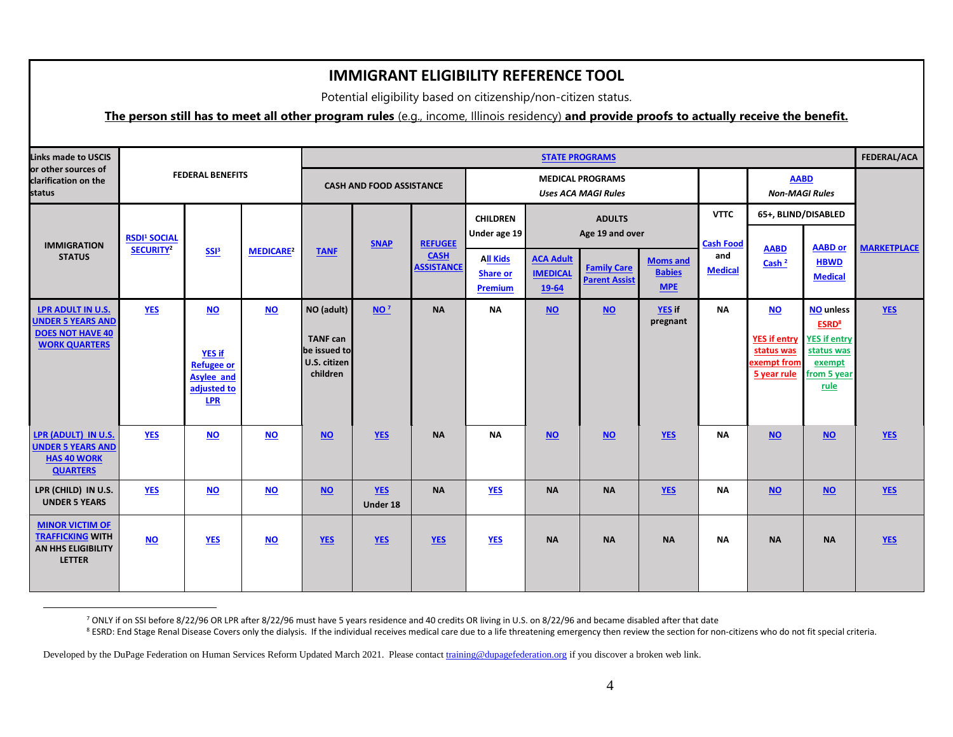Potential eligibility based on citizenship/non-citizen status.

### **The person still has to meet all other program rules** (e.g., income, Illinois residency) **and provide proofs to actually receive the benefit.**

| <b>Links made to USCIS</b><br>or other sources of                                                |                                                                             |                                                                                            |                             |                                                                           |                        |                                  |                                               |                                                  | <b>STATE PROGRAMS</b>                                 |                                                |                                 |                                                                                           |                                                                                            | FEDERAL/ACA        |
|--------------------------------------------------------------------------------------------------|-----------------------------------------------------------------------------|--------------------------------------------------------------------------------------------|-----------------------------|---------------------------------------------------------------------------|------------------------|----------------------------------|-----------------------------------------------|--------------------------------------------------|-------------------------------------------------------|------------------------------------------------|---------------------------------|-------------------------------------------------------------------------------------------|--------------------------------------------------------------------------------------------|--------------------|
| clarification on the<br>status                                                                   |                                                                             | <b>FEDERAL BENEFITS</b>                                                                    |                             | <b>CASH AND FOOD ASSISTANCE</b>                                           |                        |                                  |                                               |                                                  | <b>MEDICAL PROGRAMS</b><br><b>Uses ACA MAGI Rules</b> |                                                |                                 | <b>AABD</b><br><b>Non-MAGI Rules</b>                                                      |                                                                                            |                    |
| <b>IMMIGRATION</b><br><b>STATUS</b>                                                              | <b>RSDI<sup>1</sup> SOCIAL</b><br>SECURITY <sup>2</sup><br>SSB <sup>3</sup> |                                                                                            | <b>MEDICARE<sup>2</sup></b> | <b>TANF</b>                                                               | <b>SNAP</b>            | <b>REFUGEE</b>                   | <b>CHILDREN</b>                               | <b>ADULTS</b><br>Age 19 and over<br>Under age 19 |                                                       |                                                | <b>VTTC</b><br><b>Cash Food</b> | 65+, BLIND/DISABLED<br><b>AABD</b>                                                        | <b>AABD or</b>                                                                             | <b>MARKETPLACE</b> |
|                                                                                                  |                                                                             |                                                                                            |                             |                                                                           |                        | <b>CASH</b><br><b>ASSISTANCE</b> | <b>All Kids</b><br><b>Share or</b><br>Premium | <b>ACA Adult</b><br><b>IMEDICAL</b><br>19-64     | <b>Family Care</b><br><b>Parent Assist</b>            | <b>Moms and</b><br><b>Babies</b><br><b>MPE</b> | and<br><b>Medical</b>           | Cash <sup>2</sup>                                                                         | <b>HBWD</b><br><b>Medical</b>                                                              |                    |
| LPR ADULT IN U.S.<br><b>UNDER 5 YEARS AND</b><br><b>DOES NOT HAVE 40</b><br><b>WORK QUARTERS</b> | <b>YES</b>                                                                  | <b>NO</b><br><b>YES if</b><br><b>Refugee or</b><br><b>Asylee and</b><br>adjusted to<br>LPR | $\underline{\mathsf{NO}}$   | NO (adult)<br><b>TANF can</b><br>be issued to<br>U.S. citizen<br>children | NO <sup>7</sup>        | <b>NA</b>                        | <b>NA</b>                                     | NQ                                               | $NO$                                                  | <b>YES if</b><br>pregnant                      | <b>NA</b>                       | <b>NO</b><br>YES if entry <b>YES</b> if entry<br>status was<br>exempt from<br>5 year rule | <b>NO</b> unless<br><b>ESRD<sup>8</sup></b><br>status was<br>exempt<br>from 5 year<br>rule | <b>YES</b>         |
| LPR (ADULT) IN U.S.<br><b>UNDER 5 YEARS AND</b><br><b>HAS 40 WORK</b><br><b>QUARTERS</b>         | <b>YES</b>                                                                  | $NO$                                                                                       | $NO$                        | <b>NO</b>                                                                 | <b>YES</b>             | <b>NA</b>                        | <b>NA</b>                                     | $NO$                                             | $NO$                                                  | <b>YES</b>                                     | <b>NA</b>                       | <b>NO</b>                                                                                 | <b>NO</b>                                                                                  | <b>YES</b>         |
| LPR (CHILD) IN U.S.<br><b>UNDER 5 YEARS</b>                                                      | <b>YES</b>                                                                  | <b>NO</b>                                                                                  | <b>NO</b>                   | <b>NO</b>                                                                 | <b>YES</b><br>Under 18 | <b>NA</b>                        | <b>YES</b>                                    | <b>NA</b>                                        | <b>NA</b>                                             | <b>YES</b>                                     | <b>NA</b>                       | <b>NO</b>                                                                                 | <b>NO</b>                                                                                  | <b>YES</b>         |
| <b>MINOR VICTIM OF</b><br><b>TRAFFICKING WITH</b><br>AN HHS ELIGIBILITY<br><b>LETTER</b>         | NQ                                                                          | <b>YES</b>                                                                                 | $NO$                        | <b>YES</b>                                                                | <b>YES</b>             | <b>YES</b>                       | <b>YES</b>                                    | <b>NA</b>                                        | <b>NA</b>                                             | <b>NA</b>                                      | <b>NA</b>                       | <b>NA</b>                                                                                 | <b>NA</b>                                                                                  | <b>YES</b>         |

<sup>7</sup> ONLY if on SSI before 8/22/96 OR LPR after 8/22/96 must have 5 years residence and 40 credits OR living in U.S. on 8/22/96 and became disabled after that date

<sup>8</sup> ESRD: End Stage Renal Disease Covers only the dialysis. If the individual receives medical care due to a life threatening emergency then review the section for non-citizens who do not fit special criteria.

Developed by the DuPage Federation on Human Services Reform Updated March 2021. Please contac[t training@dupagefederation.org](mailto:training@dupagefederation.org) if you discover a broken web link.

 $\overline{a}$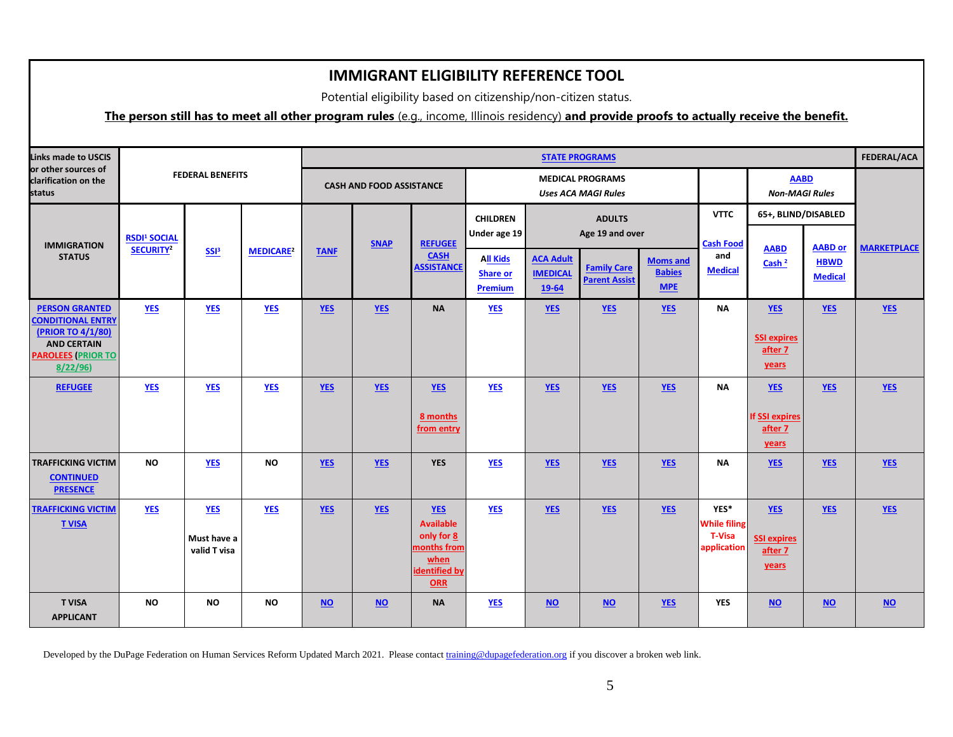Potential eligibility based on citizenship/non-citizen status.

### **The person still has to meet all other program rules** (e.g., income, Illinois residency) **and provide proofs to actually receive the benefit.**

| <b>Links made to USCIS</b>                                                                                                           |                                |                                           |                  |             |                                                                   |                                                                                                    |                                              |                                            | <b>STATE PROGRAMS</b>                                 |                                           |                                                             |                                                         |                    | FEDERAL/ACA |
|--------------------------------------------------------------------------------------------------------------------------------------|--------------------------------|-------------------------------------------|------------------|-------------|-------------------------------------------------------------------|----------------------------------------------------------------------------------------------------|----------------------------------------------|--------------------------------------------|-------------------------------------------------------|-------------------------------------------|-------------------------------------------------------------|---------------------------------------------------------|--------------------|-------------|
| or other sources of<br>clarification on the<br>status                                                                                |                                | <b>FEDERAL BENEFITS</b>                   |                  |             | <b>CASH AND FOOD ASSISTANCE</b>                                   |                                                                                                    |                                              |                                            | <b>MEDICAL PROGRAMS</b><br><b>Uses ACA MAGI Rules</b> |                                           |                                                             | <b>AABD</b><br><b>Non-MAGI Rules</b>                    |                    |             |
|                                                                                                                                      | <b>RSDI<sup>1</sup> SOCIAL</b> |                                           |                  |             |                                                                   |                                                                                                    | <b>CHILDREN</b><br>Under age 19              |                                            | <b>ADULTS</b><br>Age 19 and over                      |                                           | <b>VTTC</b>                                                 | 65+, BLIND/DISABLED                                     |                    |             |
| <b>IMMIGRATION</b><br><b>STATUS</b>                                                                                                  | SECURITY <sup>2</sup>          | SSB                                       | <b>MEDICARE2</b> | <b>TANF</b> | <b>SNAP</b><br><b>REFUGEE</b><br><b>CASH</b><br><b>ASSISTANCE</b> | <b>All Kids</b><br><b>Share or</b><br>Premium                                                      | <b>ACA Adult</b><br><b>IMEDICAL</b><br>19-64 | <b>Family Care</b><br><b>Parent Assist</b> | <b>Moms and</b><br><b>Babies</b><br><b>MPE</b>        | <b>Cash Food</b><br>and<br><b>Medical</b> | <b>AABD</b><br>Cash <sup>2</sup>                            | <b>AABD</b> or<br><b>HBWD</b><br><b>Medical</b>         | <b>MARKETPLACE</b> |             |
| <b>PERSON GRANTED</b><br><b>CONDITIONAL ENTRY</b><br>(PRIOR TO 4/1/80)<br><b>AND CERTAIN</b><br><b>PAROLEES (PRIOR TO</b><br>8/22/96 | <b>YES</b>                     | <b>YES</b>                                | $YES$            | <b>YES</b>  | <b>YES</b>                                                        | <b>NA</b>                                                                                          | <b>YES</b>                                   | YES                                        | <b>YES</b>                                            | <b>YES</b>                                | <b>NA</b>                                                   | <b>YES</b><br><b>SSI expires</b><br>after 7<br>years    | <b>YES</b>         | YES         |
| <b>REFUGEE</b>                                                                                                                       | <b>YES</b>                     | <b>YES</b>                                | <b>YES</b>       | <b>YES</b>  | <b>YES</b>                                                        | <b>YES</b><br>8 months<br>from entry                                                               | <b>YES</b>                                   | YES                                        | <b>YES</b>                                            | <b>YES</b>                                | <b>NA</b>                                                   | <b>YES</b><br><b>If SSI expires</b><br>after 7<br>years | <b>YES</b>         | YES         |
| <b>TRAFFICKING VICTIM</b><br><b>CONTINUED</b><br><b>PRESENCE</b>                                                                     | <b>NO</b>                      | <b>YES</b>                                | <b>NO</b>        | <b>YES</b>  | <b>YES</b>                                                        | <b>YES</b>                                                                                         | <b>YES</b>                                   | <b>YES</b>                                 | <b>YES</b>                                            | <b>YES</b>                                | <b>NA</b>                                                   | <b>YES</b>                                              | <b>YES</b>         | <b>YES</b>  |
| <b>TRAFFICKING VICTIM</b><br><b>T VISA</b>                                                                                           | <b>YES</b>                     | <b>YES</b><br>Must have a<br>valid T visa | <b>YES</b>       | <b>YES</b>  | YES                                                               | <b>YES</b><br><b>Available</b><br>only for 8<br>months from<br>when<br>identified by<br><b>ORR</b> | <b>YES</b>                                   | <b>YES</b>                                 | <b>YES</b>                                            | YES                                       | YES*<br><b>While filing</b><br><b>T-Visa</b><br>application | <b>YES</b><br><b>SSI expires</b><br>after 7<br>years    | <b>YES</b>         | YES         |
| <b>T VISA</b><br><b>APPLICANT</b>                                                                                                    | <b>NO</b>                      | <b>NO</b>                                 | <b>NO</b>        | $NO$        | NQ                                                                | <b>NA</b>                                                                                          | <b>YES</b>                                   | $NO$                                       | $NO$                                                  | <b>YES</b>                                | <b>YES</b>                                                  | $NO$                                                    | $NO$               | NQ          |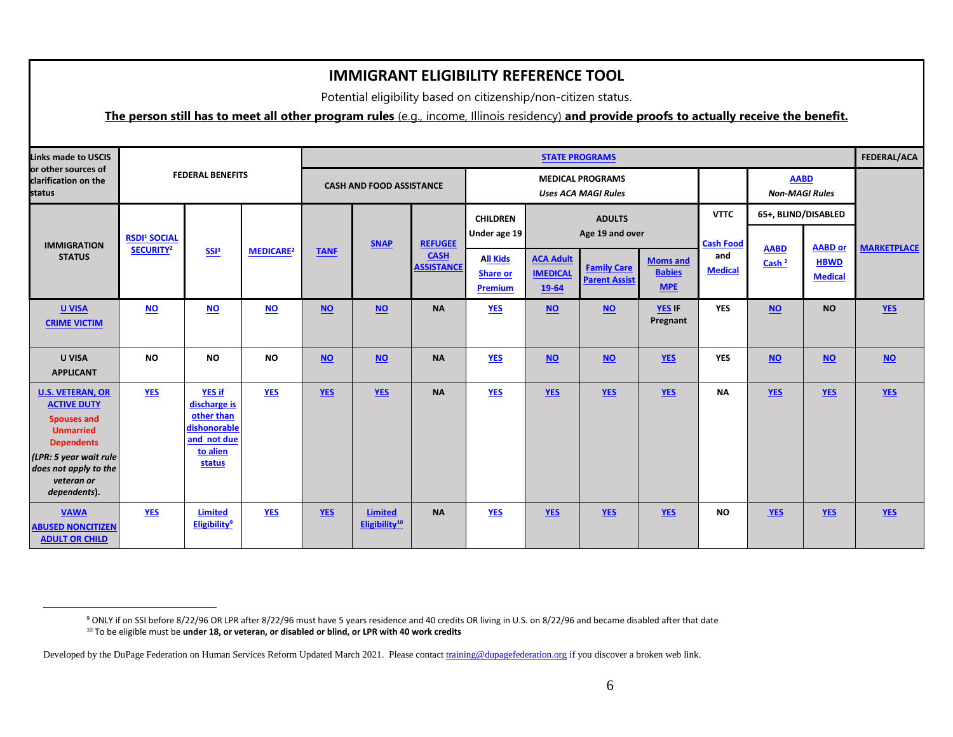Potential eligibility based on citizenship/non-citizen status.

#### **The person still has to meet all other program rules** (e.g., income, Illinois residency) **and provide proofs to actually receive the benefit.**

| <b>Links made to USCIS</b>                                                                                                                                                                     |                                |                                                                                                  |                             |             |                                             |                                  |                                                      |                                              | <b>FEDERAL/ACA</b>                                    |                                                |                                 |                                                      |                               |                    |
|------------------------------------------------------------------------------------------------------------------------------------------------------------------------------------------------|--------------------------------|--------------------------------------------------------------------------------------------------|-----------------------------|-------------|---------------------------------------------|----------------------------------|------------------------------------------------------|----------------------------------------------|-------------------------------------------------------|------------------------------------------------|---------------------------------|------------------------------------------------------|-------------------------------|--------------------|
| or other sources of<br>clarification on the<br>status                                                                                                                                          |                                | <b>FEDERAL BENEFITS</b>                                                                          |                             |             | <b>CASH AND FOOD ASSISTANCE</b>             |                                  |                                                      |                                              | <b>MEDICAL PROGRAMS</b><br><b>Uses ACA MAGI Rules</b> |                                                |                                 | <b>AABD</b><br><b>Non-MAGI Rules</b>                 |                               |                    |
| <b>IMMIGRATION</b>                                                                                                                                                                             | <b>RSDI<sup>1</sup> SOCIAL</b> |                                                                                                  |                             |             | <b>SNAP</b>                                 | <b>REFUGEE</b>                   | <b>CHILDREN</b><br>Under age 19                      |                                              | <b>ADULTS</b><br>Age 19 and over                      |                                                | <b>VTTC</b><br><b>Cash Food</b> | 65+, BLIND/DISABLED<br><b>AABD or</b><br><b>AABD</b> |                               | <b>MARKETPLACE</b> |
| <b>STATUS</b>                                                                                                                                                                                  | SECURITY <sup>2</sup>          | SSB <sup>3</sup>                                                                                 | <b>MEDICARE<sup>2</sup></b> | <b>TANF</b> |                                             | <b>CASH</b><br><b>ASSISTANCE</b> | <b>All Kids</b><br><b>Share or</b><br><b>Premium</b> | <b>ACA Adult</b><br><b>IMEDICAL</b><br>19-64 | <b>Family Care</b><br><b>Parent Assist</b>            | <b>Moms and</b><br><b>Babies</b><br><b>MPE</b> | and<br><b>Medical</b>           | Cash <sup>2</sup>                                    | <b>HBWD</b><br><b>Medical</b> |                    |
| <b>U VISA</b><br><b>CRIME VICTIM</b>                                                                                                                                                           | $NO$                           | $NO$                                                                                             | $NO$                        | $NO$        | $NO$                                        | <b>NA</b>                        | <b>YES</b>                                           | $NO$                                         | $NO$                                                  | YES IF<br>Pregnant                             | <b>YES</b>                      | <b>NO</b>                                            | <b>NO</b>                     | <b>YES</b>         |
| <b>U VISA</b><br><b>APPLICANT</b>                                                                                                                                                              | <b>NO</b>                      | <b>NO</b>                                                                                        | <b>NO</b>                   | $NO$        | $NO$                                        | <b>NA</b>                        | <b>YES</b>                                           | $NO$                                         | $NO$                                                  | <b>YES</b>                                     | <b>YES</b>                      | $NO$                                                 | $NO$                          | $NO$               |
| <b>U.S. VETERAN, OR</b><br><b>ACTIVE DUTY</b><br><b>Spouses and</b><br><b>Unmarried</b><br><b>Dependents</b><br>(LPR: 5 year wait rule)<br>does not apply to the<br>veteran or<br>dependents). | $YES$                          | <b>YES if</b><br>discharge is<br>other than<br>dishonorable<br>and not due<br>to alien<br>status | $YES$                       | <b>YES</b>  | YES                                         | <b>NA</b>                        | <b>YES</b>                                           | YES                                          | YES                                                   | YES                                            | <b>NA</b>                       | <b>YES</b>                                           | <b>YES</b>                    | YES                |
| <b>VAWA</b><br><b>ABUSED NONCITIZEN</b><br><b>ADULT OR CHILD</b>                                                                                                                               | <b>YES</b>                     | <b>Limited</b><br><b>Eligibility<sup>9</sup></b>                                                 | <b>YES</b>                  | <b>YES</b>  | <b>Limited</b><br>Eligibility <sup>10</sup> | <b>NA</b>                        | <b>YES</b>                                           | <b>YES</b>                                   | <b>YES</b>                                            | <b>YES</b>                                     | <b>NO</b>                       | <b>YES</b>                                           | <b>YES</b>                    | <b>YES</b>         |

 $\overline{a}$ 

<sup>&</sup>lt;sup>9</sup> ONLY if on SSI before 8/22/96 OR LPR after 8/22/96 must have 5 years residence and 40 credits OR living in U.S. on 8/22/96 and became disabled after that date <sup>10</sup> To be eligible must be **under 18, or veteran, or disabled or blind, or LPR with 40 work credits** 

Developed by the DuPage Federation on Human Services Reform Updated March 2021. Please contac[t training@dupagefederation.org](mailto:training@dupagefederation.org) if you discover a broken web link.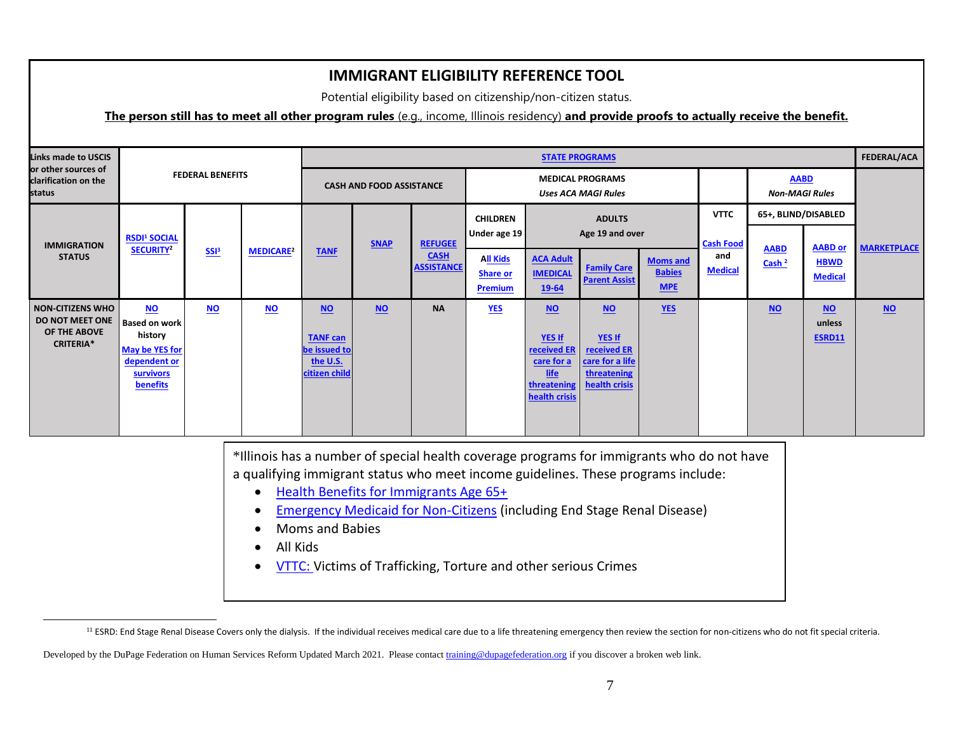Potential eligibility based on citizenship/non-citizen status.

## **The person still has to meet all other program rules** (e.g., income, Illinois residency) **and provide proofs to actually receive the benefit.**

| <b>Links made to USCIS</b>                                                     |                                                                                                                       |                         |                             |                                                                      |                                 |                                                    |                                                      |                                                                                                   | <b>STATE PROGRAMS</b>                                                                   |                                                |                                           |                                      |                                                 | FEDERAL/ACA        |
|--------------------------------------------------------------------------------|-----------------------------------------------------------------------------------------------------------------------|-------------------------|-----------------------------|----------------------------------------------------------------------|---------------------------------|----------------------------------------------------|------------------------------------------------------|---------------------------------------------------------------------------------------------------|-----------------------------------------------------------------------------------------|------------------------------------------------|-------------------------------------------|--------------------------------------|-------------------------------------------------|--------------------|
| or other sources of<br>clarification on the<br>status                          |                                                                                                                       | <b>FEDERAL BENEFITS</b> |                             |                                                                      | <b>CASH AND FOOD ASSISTANCE</b> |                                                    |                                                      |                                                                                                   | <b>MEDICAL PROGRAMS</b><br><b>Uses ACA MAGI Rules</b>                                   |                                                |                                           | <b>AABD</b><br><b>Non-MAGI Rules</b> |                                                 |                    |
|                                                                                |                                                                                                                       |                         |                             |                                                                      |                                 |                                                    | <b>CHILDREN</b><br>Under age 19                      |                                                                                                   | <b>ADULTS</b><br>Age 19 and over                                                        |                                                | <b>VTTC</b>                               | 65+, BLIND/DISABLED                  |                                                 |                    |
| <b>IMMIGRATION</b><br><b>STATUS</b>                                            | <b>RSDI<sup>1</sup> SOCIAL</b><br>SECURITY <sup>2</sup>                                                               | SSI <sup>3</sup>        | <b>MEDICARE<sup>2</sup></b> | <b>TANF</b>                                                          | <b>SNAP</b>                     | <b>REFUGEE</b><br><b>CASH</b><br><b>ASSISTANCE</b> | <b>All Kids</b><br><b>Share or</b><br><b>Premium</b> | <b>ACA Adult</b><br><b>IMEDICAL</b><br>19-64                                                      | <b>Family Care</b><br><b>Parent Assist</b>                                              | <b>Moms and</b><br><b>Babies</b><br><b>MPE</b> | <b>Cash Food</b><br>and<br><b>Medical</b> | <b>AABD</b><br>Cash <sup>2</sup>     | <b>AABD or</b><br><b>HBWD</b><br><b>Medical</b> | <b>MARKETPLACE</b> |
| <b>NON-CITIZENS WHO</b><br>DO NOT MEET ONE<br>OF THE ABOVE<br><b>CRITERIA*</b> | <b>NO</b><br><b>Based on work</b><br>history<br>May be YES for<br>dependent or<br><b>survivors</b><br><b>benefits</b> | $NO$                    | $NO$                        | $NO$<br><b>TANF can</b><br>be issued to<br>the U.S.<br>citizen child | $NO$                            | <b>NA</b>                                          | <b>YES</b>                                           | $NO$<br><b>YES If</b><br>received ER<br>care for a<br><u>life</u><br>threatening<br>health crisis | $NO$<br><b>YES If</b><br>received ER<br>care for a life<br>threatening<br>health crisis | $YES$                                          |                                           | $NO$                                 | $NO$<br>unless<br>ESRD11                        | $NO$               |

\*Illinois has a number of special health coverage programs for immigrants who do not have a qualifying immigrant status who meet income guidelines. These programs include:

- [Health Benefits for Immigrants Age 65+](https://www.dhs.state.il.us/page.aspx?item=130020)
- **[Emergency Medicaid for Non-Citizens](https://www.dhs.state.il.us/page.aspx?item=53219) (including End Stage Renal Disease)**
- Moms and Babies
- All Kids

 $\overline{a}$ 

• [VTTC: V](https://www.dhs.state.il.us/page.aspx?item=98326)ictims of Trafficking, Torture and other serious Crimes

<sup>&</sup>lt;sup>11</sup> ESRD: End Stage Renal Disease Covers only the dialysis. If the individual receives medical care due to a life threatening emergency then review the section for non-citizens who do not fit special criteria.

Developed by the DuPage Federation on Human Services Reform Updated March 2021. Please contac[t training@dupagefederation.org](mailto:training@dupagefederation.org) if you discover a broken web link.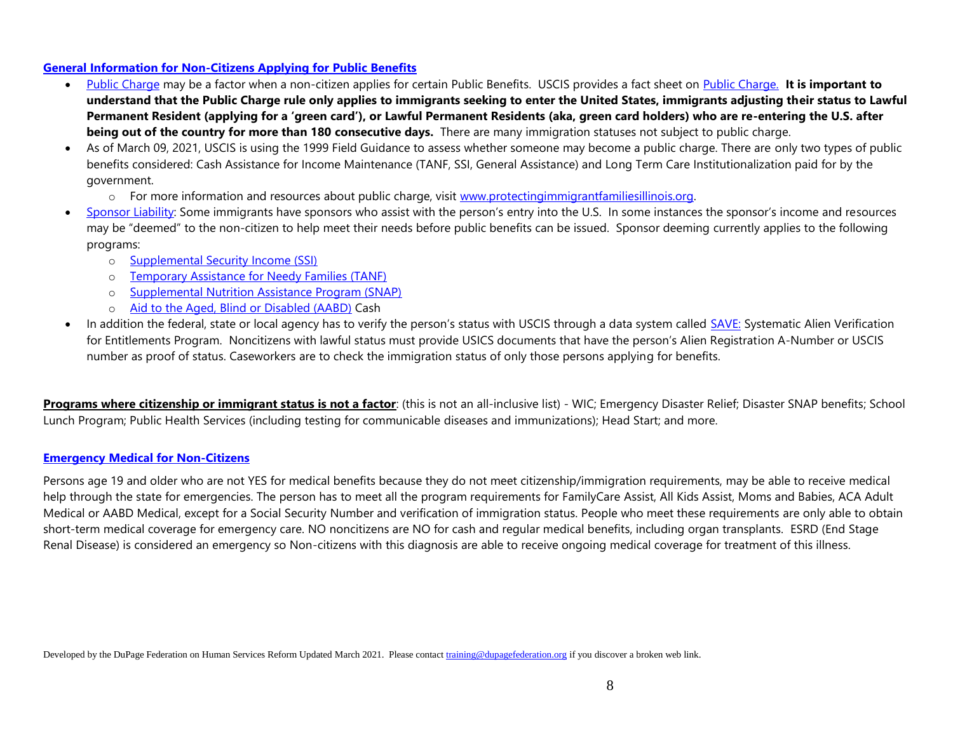#### **[General Information for Non-Citizens Applying for Public Benefits](https://www.uscis.gov/sites/default/files/files/pressrelease/Charge.pdf)**

- [Public Charge](https://www.uscis.gov/green-card/green-card-processes-and-procedures/public-charge) may be a factor when a non-citizen applies for certain Public Benefits. USCIS provides a fact sheet on [Public Charge.](https://www.uscis.gov/news/fact-sheets/public-charge-fact-sheet) **It is important to understand that the Public Charge rule only applies to immigrants seeking to enter the United States, immigrants adjusting their status to Lawful Permanent Resident (applying for a 'green card'), or Lawful Permanent Residents (aka, green card holders) who are re-entering the U.S. after being out of the country for more than 180 consecutive days.** There are many immigration statuses not subject to public charge.
- As of March 09, 2021, USCIS is using the 1999 Field Guidance to assess whether someone may become a public charge. There are only two types of public benefits considered: Cash Assistance for Income Maintenance (TANF, SSI, General Assistance) and Long Term Care Institutionalization paid for by the government.
	- o For more information and resources about public charge, visit [www.protectingimmigrantfamiliesillinois.org.](http://www.protectingimmigrantfamiliesillinois.org/)
- [Sponsor Liability:](https://www.dhs.state.il.us/page.aspx?item=15700) Some immigrants have sponsors who assist with the person's entry into the U.S. In some instances the sponsor's income and resources may be "deemed" to the non-citizen to help meet their needs before public benefits can be issued. Sponsor deeming currently applies to the following programs:
	- o [Supplemental Security Income \(SSI\)](https://www.socialsecurity.gov/OP_Home/handbook/handbook.21/handbook-2170.html)
	- o [Temporary Assistance for Needy Families \(TANF\)](http://www.dhs.state.il.us/page.aspx?item=15698)
	- o [Supplemental Nutrition Assistance Program \(SNAP\)](http://www.dhs.state.il.us/page.aspx?item=15698)
	- o [Aid to the Aged, Blind or Disabled \(AABD\)](http://www.dhs.state.il.us/page.aspx?item=15698) Cash
- In addition the federal, state or local agency has to verify the person's status with USCIS through a data system called **[SAVE:](https://www.uscis.gov/save)** Systematic Alien Verification for Entitlements Program. Noncitizens with lawful status must provide USICS documents that have the person's Alien Registration A-Number or USCIS number as proof of status. Caseworkers are to check the immigration status of only those persons applying for benefits.

**Programs where citizenship or immigrant status is not a factor**: (this is not an all-inclusive list) - WIC; Emergency Disaster Relief; Disaster SNAP benefits; School Lunch Program; Public Health Services (including testing for communicable diseases and immunizations); Head Start; and more.

#### **[Emergency Medical for Non-Citizens](http://www.dhs.state.il.us/page.aspx?item=13824)**

Persons age 19 and older who are not YES for medical benefits because they do not meet citizenship/immigration requirements, may be able to receive medical help through the state for emergencies. The person has to meet all the program requirements for FamilyCare Assist, All Kids Assist, Moms and Babies, ACA Adult Medical or AABD Medical, except for a Social Security Number and verification of immigration status. People who meet these requirements are only able to obtain short-term medical coverage for emergency care. NO noncitizens are NO for cash and regular medical benefits, including organ transplants. ESRD (End Stage Renal Disease) is considered an emergency so Non-citizens with this diagnosis are able to receive ongoing medical coverage for treatment of this illness.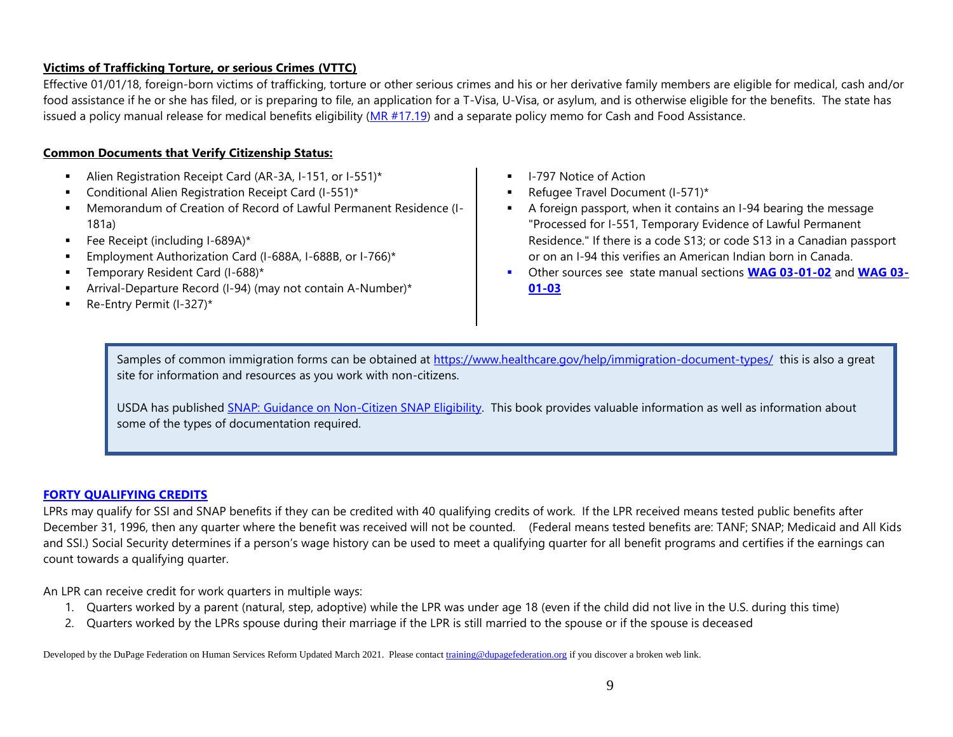## **Victims of Trafficking Torture, or serious Crimes (VTTC)**

Effective 01/01/18, foreign-born victims of trafficking, torture or other serious crimes and his or her derivative family members are eligible for medical, cash and/or food assistance if he or she has filed, or is preparing to file, an application for a T-Visa, U-Visa, or asylum, and is otherwise eligible for the benefits. The state has issued a policy manual release for medical benefits eligibility [\(MR #17.19\)](http://www.dhs.state.il.us/page.aspx?item=97367) and a separate policy memo for Cash and Food Assistance.

## **Common Documents that Verify Citizenship Status:**

- Alien Registration Receipt Card (AR-3A, I-151, or I-551)\*
- Conditional Alien Registration Receipt Card (I-551)\*
- Memorandum of Creation of Record of Lawful Permanent Residence (I-181a)
- Fee Receipt (including I-689A)\*
- Employment Authorization Card (I-688A, I-688B, or I-766)\*
- Temporary Resident Card (I-688)\*
- Arrival-Departure Record (I-94) (may not contain A-Number)\*
- Re-Entry Permit (I-327)\*
- **■** I-797 Notice of Action
- Refugee Travel Document (I-571)\*
- A foreign passport, when it contains an I-94 bearing the message "Processed for I-551, Temporary Evidence of Lawful Permanent Residence." If there is a code S13; or code S13 in a Canadian passport or on an I-94 this verifies an American Indian born in Canada.
- Other sources see state manual sections **[WAG 03-01-02](http://www.dhs.state.il.us/page.aspx?item=13099)** and **[WAG 03-](http://www.dhs.state.il.us/page.aspx?item=13198) [01-03](http://www.dhs.state.il.us/page.aspx?item=13198)**

Samples of common immigration forms can be obtained at <https://www.healthcare.gov/help/immigration-document-types/> this is also a great site for information and resources as you work with non-citizens.

USDA has published [SNAP: Guidance on Non-Citizen SNAP Eligibility.](https://www.fns.usda.gov/snap/eligibility/citizen/non-citizen-policy) This book provides valuable information as well as information about some of the types of documentation required.

#### **[FORTY QUALIFYING CREDITS](https://secure.ssa.gov/poms.nsf/lnx/0500502135)**

LPRs may qualify for SSI and SNAP benefits if they can be credited with 40 qualifying credits of work. If the LPR received means tested public benefits after December 31, 1996, then any quarter where the benefit was received will not be counted. (Federal means tested benefits are: TANF; SNAP; Medicaid and All Kids and SSI.) Social Security determines if a person's wage history can be used to meet a qualifying quarter for all benefit programs and certifies if the earnings can count towards a qualifying quarter.

An LPR can receive credit for work quarters in multiple ways:

- 1. Quarters worked by a parent (natural, step, adoptive) while the LPR was under age 18 (even if the child did not live in the U.S. during this time)
- 2. Quarters worked by the LPRs spouse during their marriage if the LPR is still married to the spouse or if the spouse is deceased